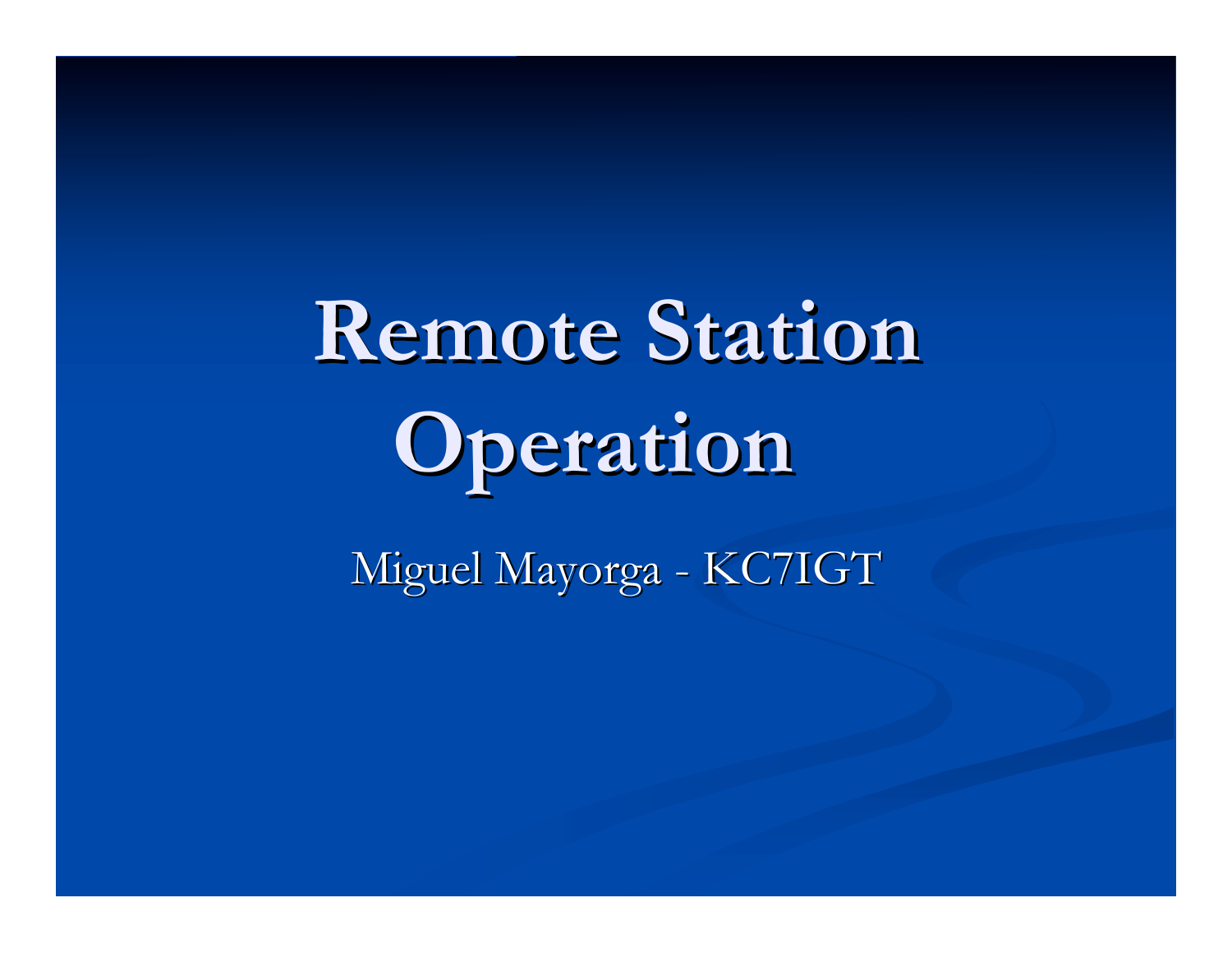# **Remote Station Remote Station Operation Operation**

Miguel Mayorga - KC7IGT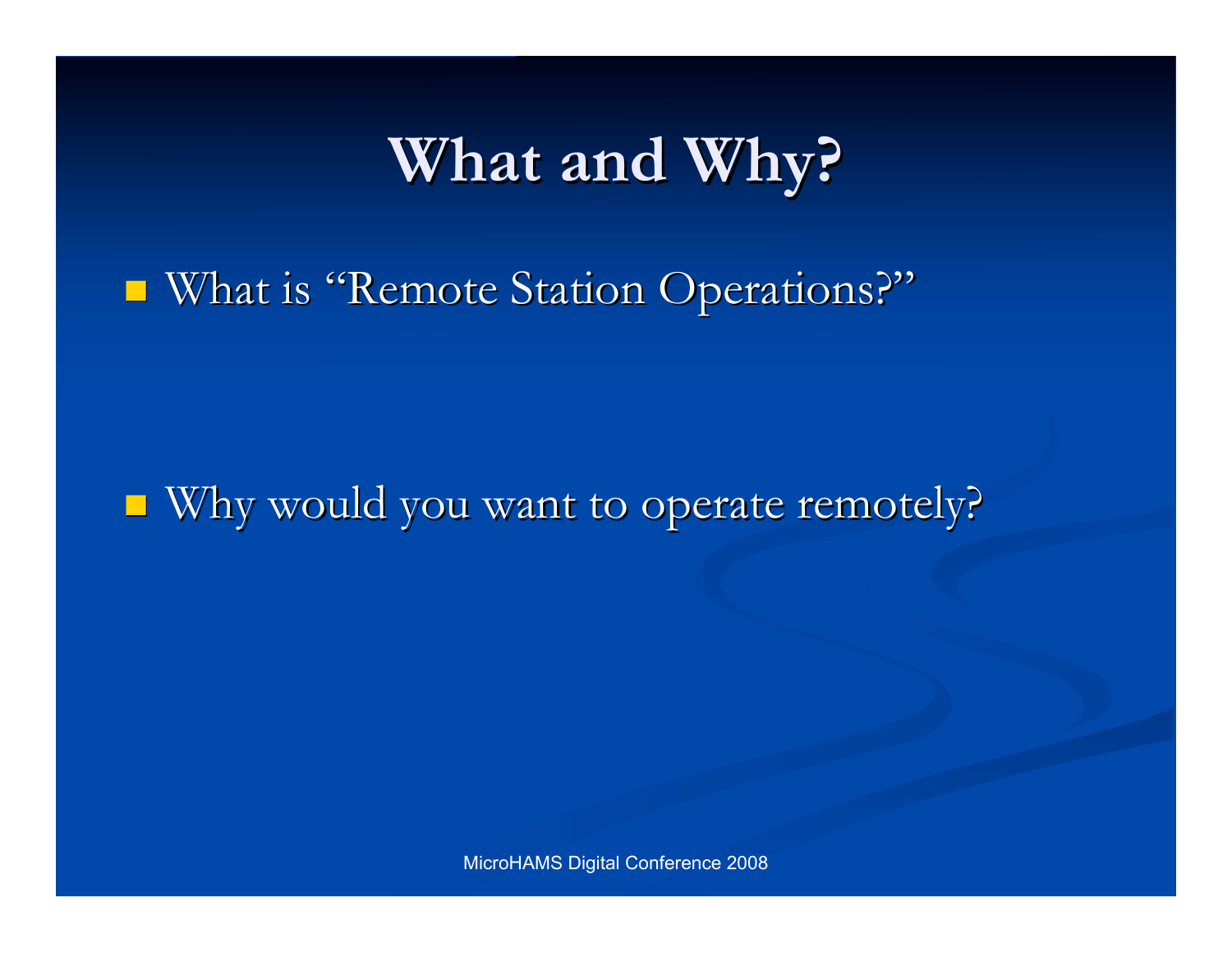### **What and Why?**

■ What is "Remote Station Operations?"

■ Why would you want to operate remotely?

MicroHAMS Digital Conference 2008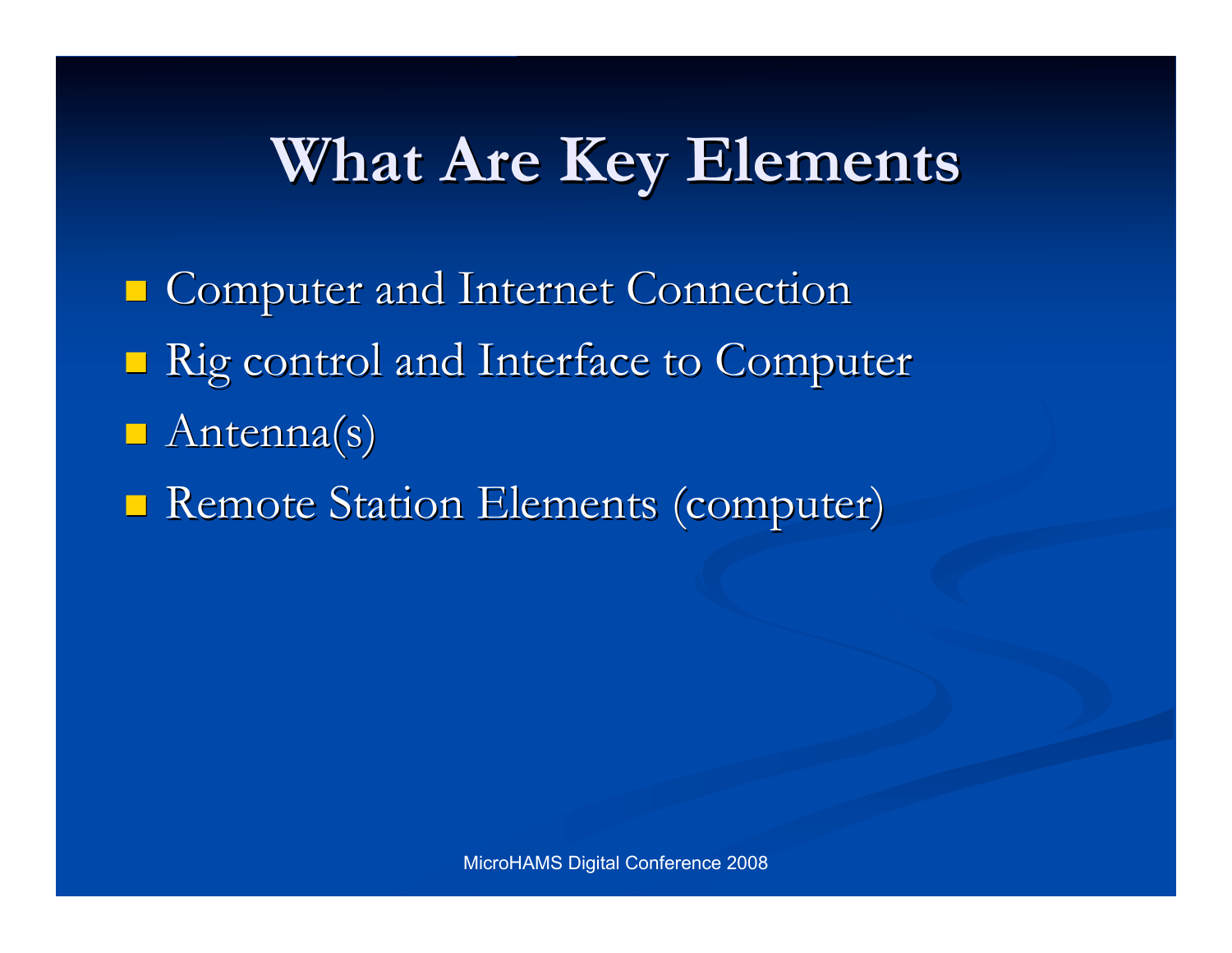### **What Are Key Elements**

**Computer and Internet Connection** ■ Rig control and Interface to Computer  $A$ ntenna(s) **Remote Station Elements (computer)**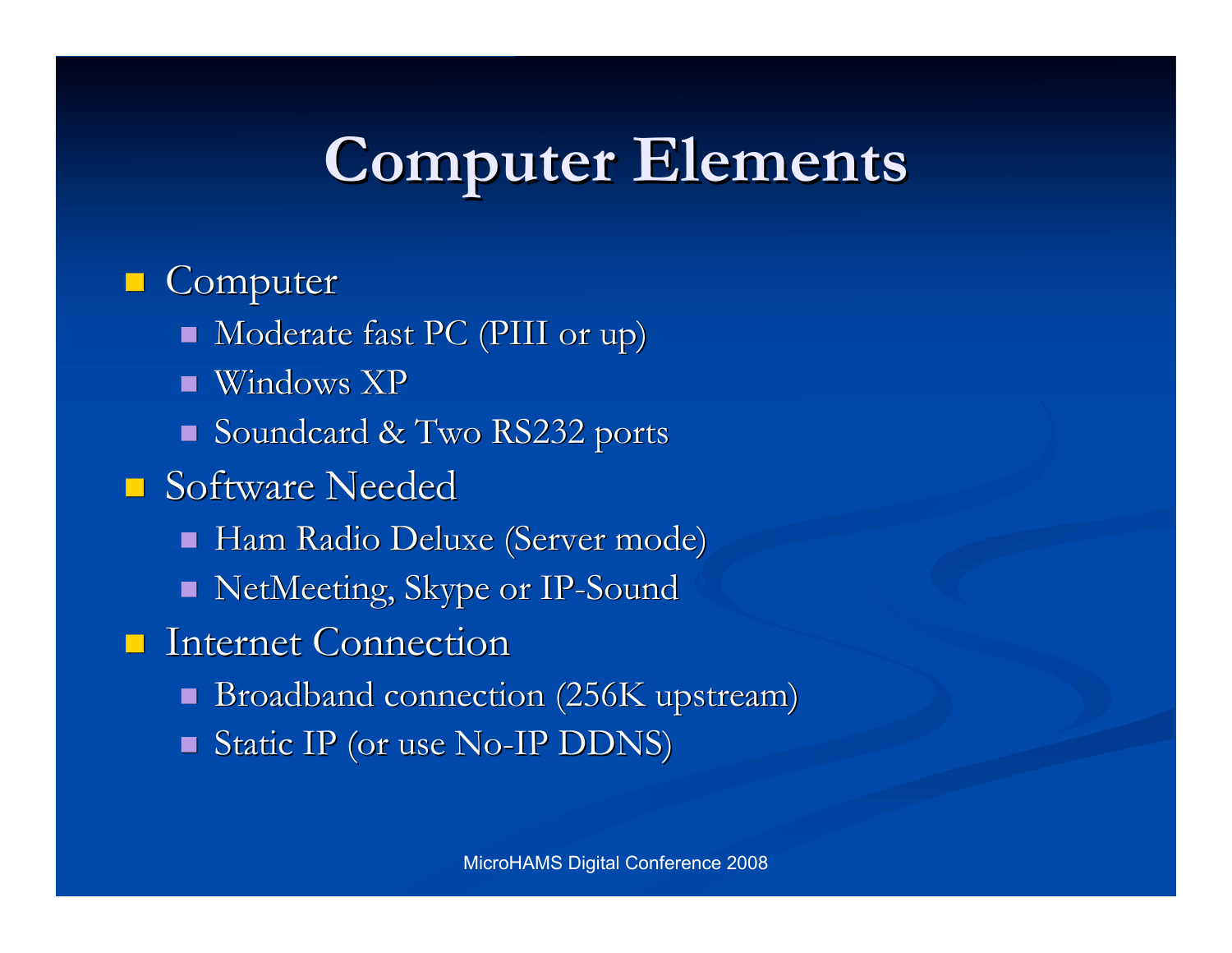### **Computer Computer Elements Elements**

#### **Computer**

- Moderate fast PC (PIII or up)
- $\blacksquare$  Windows XP
- Soundcard & Two RS232 ports
- **Software Needed** 
	- Ham Radio Deluxe (Server mode)
	- NetMeeting, Skype or IP-Sound
- **Internet Connection** 
	- Broadband connection (256K upstream)
	- $\blacksquare$  Static IP (or use No-IP DDNS)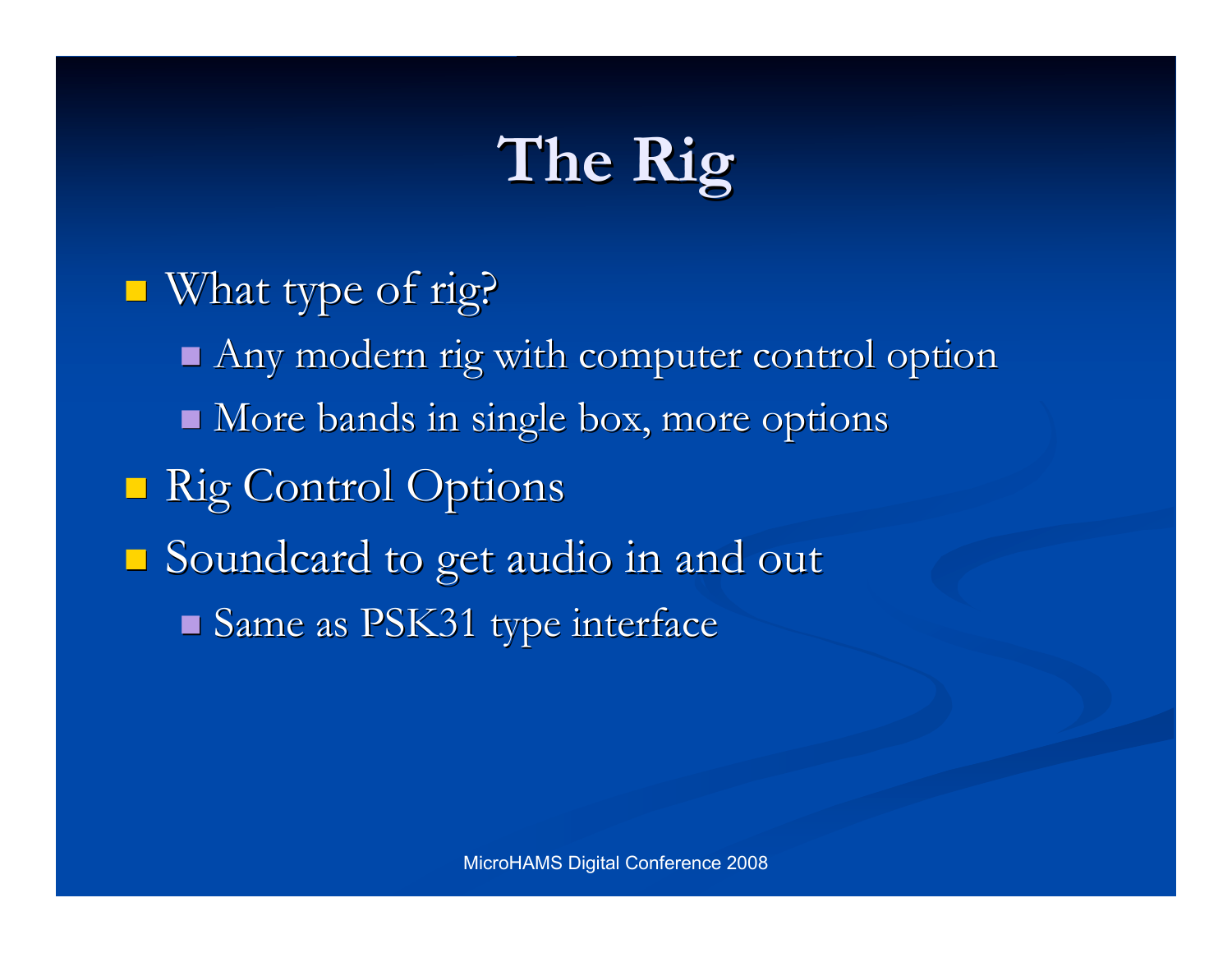## **The Rig The Rig**

 $\blacksquare$  What type of rig?  $A$ ny modern rig with computer control option  $\blacksquare$  More bands in single box, more options **Rig Control Options**  $\Box$  Soundcard to get audio in and out  $\blacksquare$  Same as PSK31 type interface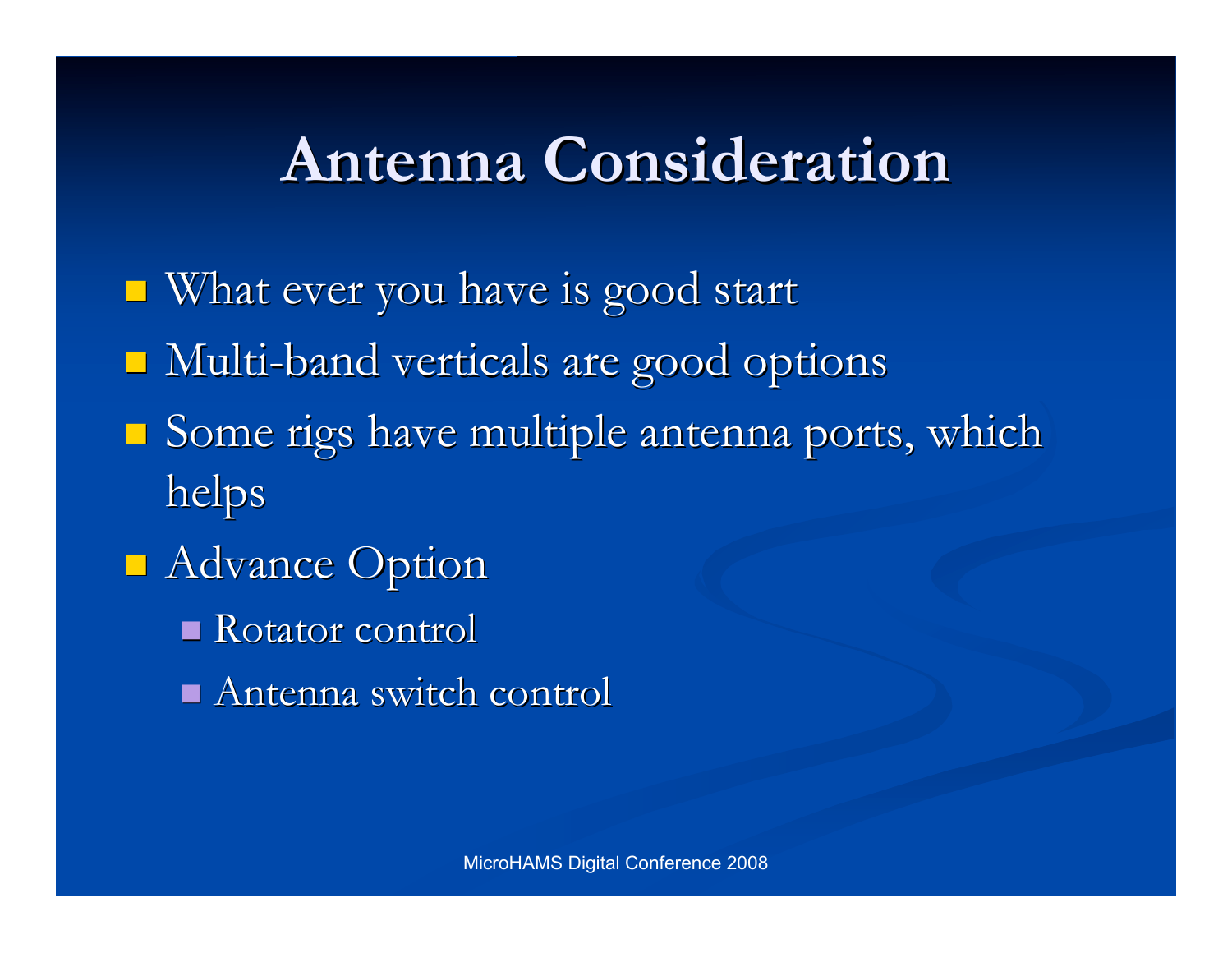### **Antenna Consideration Antenna Consideration**

- $\blacksquare$  What ever you have is good start
- Multi-band verticals are good options
- Some rigs have multiple antenna ports, which helps
- **Advance Option** 
	- Rotator control
	- Antenna switch control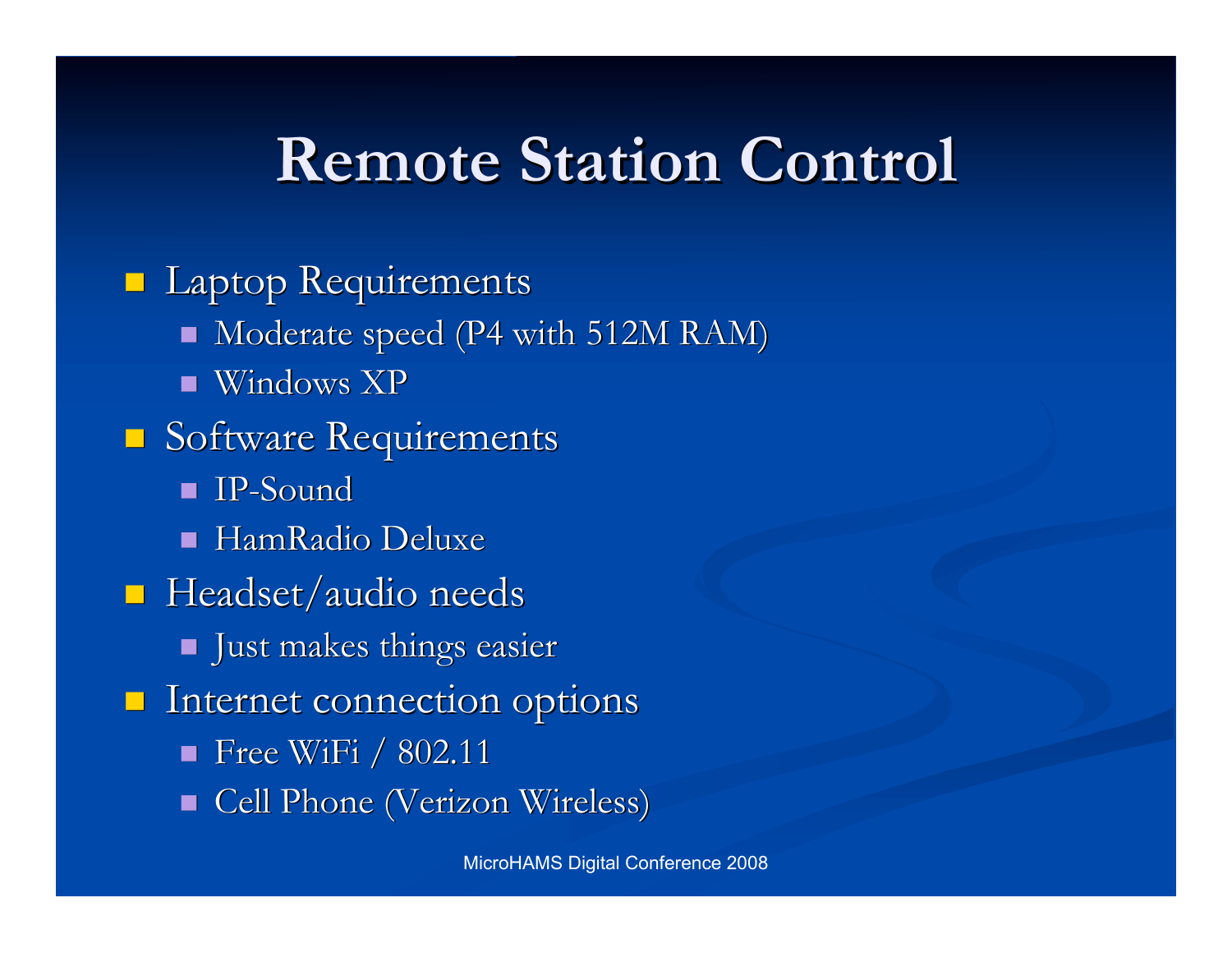### **Remote Station Control Remote Station Control**

**Laptop Requirements**  $\blacksquare$  Moderate speed (P4 with 512M RAM)  $\blacksquare$  Windows XP  $\Box$  Software Requirements IP-Sound IP-Sound HamRadio HamRadio Deluxe  $\blacksquare$  Headset/audio needs **Just makes things easier**  $\blacksquare$  Internet connection options  $\blacksquare$  Free WiFi / 802.11 Cell Phone (Verizon Wireless)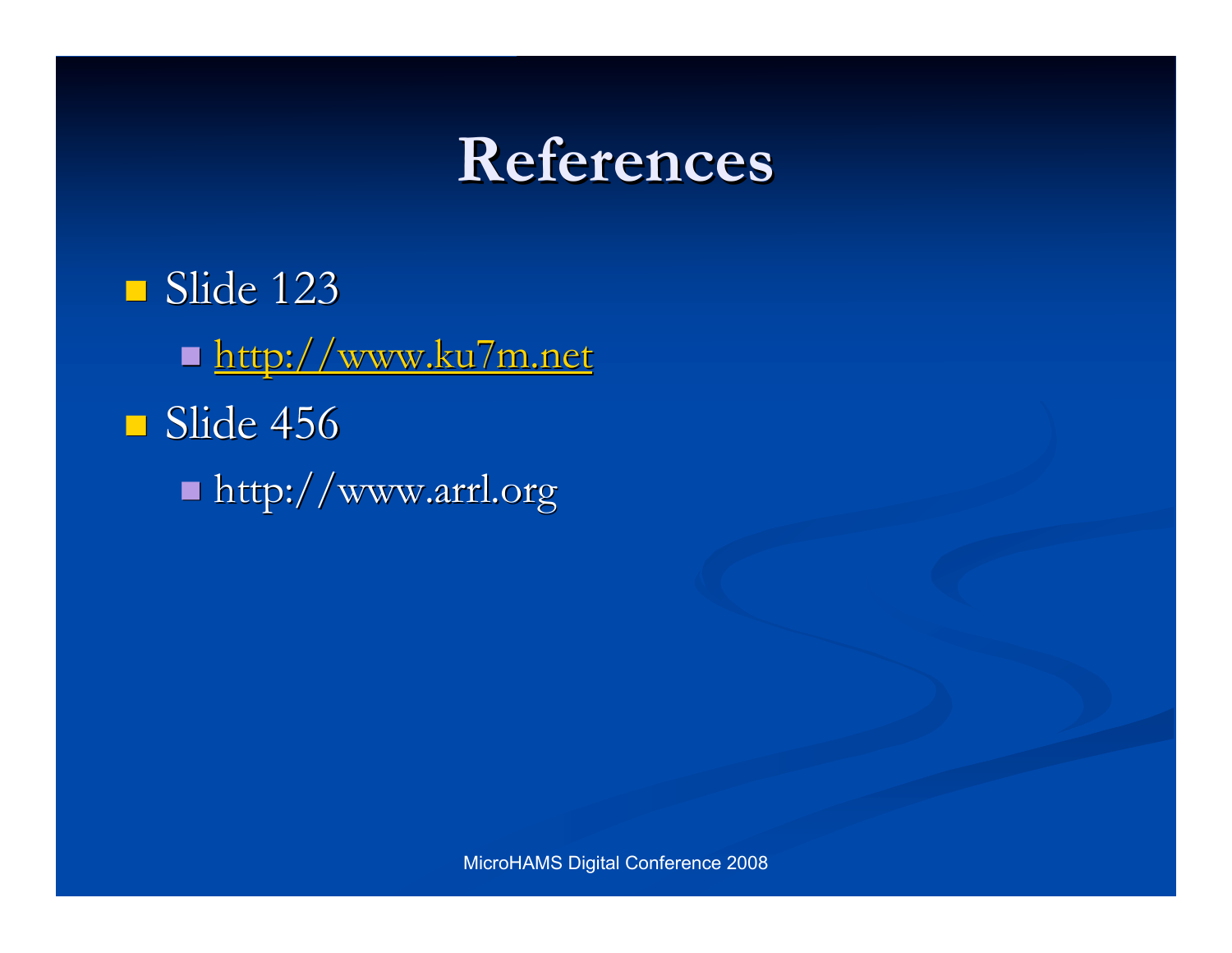### **References References**

 $\blacksquare$  Slide 123 ■ http://www.ku7m.net  $\blacksquare$  Slide 456  $\blacksquare$  http://www.arrl.org

MicroHAMS Digital Conference 2008